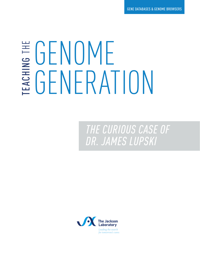## GENOME TEACHING GENERATION THE

*THE CURIOUS CASE OF DR. JAMES LUPSKI*

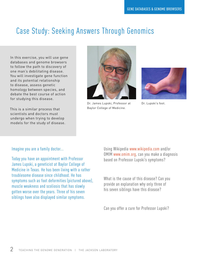### Case Study: Seeking Answers Through Genomics

In this exercise, you will use gene databases and genome browsers to follow the path to discovery of one man's debilitating disease. You will investigate gene function and its potential relationship to disease, assess genetic homology between species, and debate the best course of action for studying this disease.

This is a similar process that scientists and doctors must undergo when trying to develop models for the study of disease.



Dr. James Lupski, Professor at Baylor College of Medicine.



Dr. Lupski's foot.

#### Imagine you are a family doctor...

Today you have an appointment with Professor James Lupski, a geneticist at Baylor College of Medicine in Texas. He has been living with a rather troublesome disease since childhood. He has symptoms such as foot deformities (pictured above), muscle weakness and scoliosis that has slowly gotten worse over the years. Three of his seven siblings have also displayed similar symptoms.

Using Wikipedia www.wikipedia.com and/or OMIM www.omim.org, can you make a diagnosis based on Professor Lupski's symptoms?

What is the cause of this disease? Can you provide an explanation why only three of his seven siblings have this disease?

Can you offer a cure for Professor Lupski?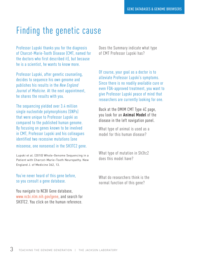## Finding the genetic cause

Professor Lupski thanks you for the diagnosis of Charcot-Marie-Tooth Disease (CMT, named for the doctors who first described it), but because he is a scientist, he wants to know more.

Professor Lupski, after genetic counseling, decides to sequence his own genome and publishes his results in the *New England Journal of Medicine*. At the next appointment, he shares the results with you.

The sequencing yielded over 3.4 million single nucleotide polymorphisms (SNPs) that were unique to Professor Lupski as compared to the published human genome. By focusing on genes known to be involved in CMT, Professor Lupski and his colleagues identified two recessive mutations lone

missense, one nonsense) in the SH3TC2 gene.

Lupski et al. (2010) Whole-Genome Sequencing in a Patient with Charcot–Marie–Tooth Neuropathy. New England J. of Medicine 362, 13.

You've never heard of this gene before, so you consult a gene database.

You navigate to NCBI Gene database, www.ncbi.nlm.nih.gov/gene, and search for SH3TC2. You click on the human reference.

Does the Summary indicate what type of CMT Professor Lupski has?

Of course, your goal as a doctor is to alleviate Professor Lupski's symptoms. Since there is no readily available cure or even FDA-approved treatment, you want to give Professor Lupski peace of mind that researchers are currently looking for one.

Back at the OMIM CMT Type 4C page, you look for an **Animal Model** of the disease in the left navigation panel.

What type of animal is used as a model for this human disease?

What type of mutation in Sh3tc2 does this model have?

What do researchers think is the normal function of this gene?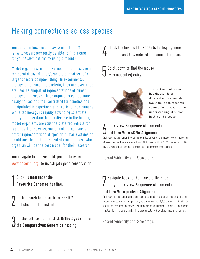#### Making connections across species

You question how good a *mouse* model of CMT is. Will researchers really be able to find a cure for your *human* patient by using a rodent?

Model organisms, much like model airplanes, are a representation/imitation/example of another (often larger or more complex) thing. In experimental biology, organisms like bacteria, flies and even mice are used as simplified representations of human biology and disease. These organisms can be more easily housed and fed, controlled for genetics and manipulated in experimental situations than humans. While technology is rapidly advancing scientists ability to understand human disease in the human, model organisms are still the preferred vehicle for rapid results. However, some model organisms are better representations of specific human systems or conditions than others. Scientists must choose which organism will be the best model for their research.

You navigate to the Ensembl genome browser, www.ensembl.org, to investigate gene conservation.

1 Click **Human** under the **Favourite Genomes** heading.

2 In the search bar, search for SH3TC2<br>2 and click on the first hit.  $\overline{\phantom{a}}$  and click on the first hit.

**3** On the left navigation, click Orthologu<br>dthe Comparatives Genomics heading. On the left navigation, click **Orthologues** under Let the box next to **Rodents** to display more<br>details about this order of the animal kingdom. Check the box next to **Rodents** to display more

5 (Mus musculus) entry. Scroll down to find the mouse



The Jackson Laboratory has thousands of different mouse models available to the research community to advance the understanding of human health and disease.

#### 6 Click **View Sequence Alignments**  and then **View cDNA Alignment**.

Each row has the human DNA sequence piled on top of the mouse DNA sequence for 50 bases per row (there are more than 3,800 bases in SH3TC2 cDNA, so keep scrolling down!). When the bases match, there is a \* underneath that location.

Record %identity and %coverage.

# 7 Navigate back to the mouse orthologue entry. Click **View Sequence Alignments**

and then **View protein Alignment**.<br>Each row has the human amino acid sequence piled on top of the mouse amino acid sequence for 50 amino acids per row (there are more than 1,200 amino acids in SH3TC2 protein, so keep scrolling down!). When the amino acids match, there is a \* underneath that location. If they are similar in charge or polarity they either have a ( . ) or ( : ).

Record %identity and %coverage.